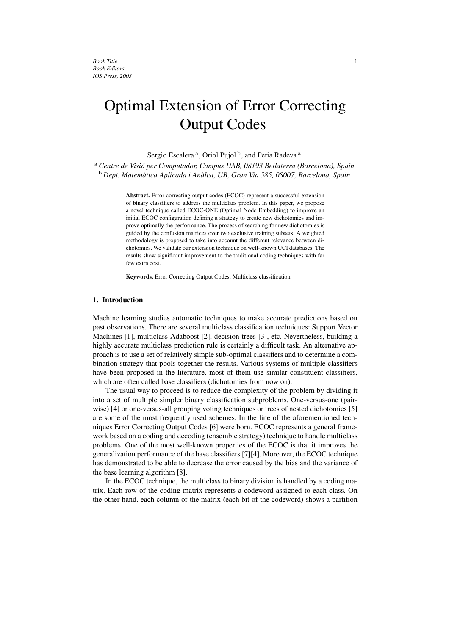*Book Title Book Editors IOS Press, 2003*

# Optimal Extension of Error Correcting Output Codes

Sergio Escalera<sup>a</sup>, Oriol Pujol<sup>b</sup>, and Petia Radeva<sup>a</sup>

<sup>a</sup> *Centre de Visió per Computador, Campus UAB, 08193 Bellaterra (Barcelona), Spain* <sup>b</sup> *Dept. Matemàtica Aplicada i Anàlisi, UB, Gran Via 585, 08007, Barcelona, Spain*

> Abstract. Error correcting output codes (ECOC) represent a successful extension of binary classifiers to address the multiclass problem. In this paper, we propose a novel technique called ECOC-ONE (Optimal Node Embedding) to improve an initial ECOC configuration defining a strategy to create new dichotomies and improve optimally the performance. The process of searching for new dichotomies is guided by the confusion matrices over two exclusive training subsets. A weighted methodology is proposed to take into account the different relevance between dichotomies. We validate our extension technique on well-known UCI databases. The results show significant improvement to the traditional coding techniques with far few extra cost.

Keywords. Error Correcting Output Codes, Multiclass classification

### 1. Introduction

Machine learning studies automatic techniques to make accurate predictions based on past observations. There are several multiclass classification techniques: Support Vector Machines [1], multiclass Adaboost [2], decision trees [3], etc. Nevertheless, building a highly accurate multiclass prediction rule is certainly a difficult task. An alternative approach is to use a set of relatively simple sub-optimal classifiers and to determine a combination strategy that pools together the results. Various systems of multiple classifiers have been proposed in the literature, most of them use similar constituent classifiers, which are often called base classifiers (dichotomies from now on).

The usual way to proceed is to reduce the complexity of the problem by dividing it into a set of multiple simpler binary classification subproblems. One-versus-one (pairwise) [4] or one-versus-all grouping voting techniques or trees of nested dichotomies [5] are some of the most frequently used schemes. In the line of the aforementioned techniques Error Correcting Output Codes [6] were born. ECOC represents a general framework based on a coding and decoding (ensemble strategy) technique to handle multiclass problems. One of the most well-known properties of the ECOC is that it improves the generalization performance of the base classifiers [7][4]. Moreover, the ECOC technique has demonstrated to be able to decrease the error caused by the bias and the variance of the base learning algorithm [8].

In the ECOC technique, the multiclass to binary division is handled by a coding matrix. Each row of the coding matrix represents a codeword assigned to each class. On the other hand, each column of the matrix (each bit of the codeword) shows a partition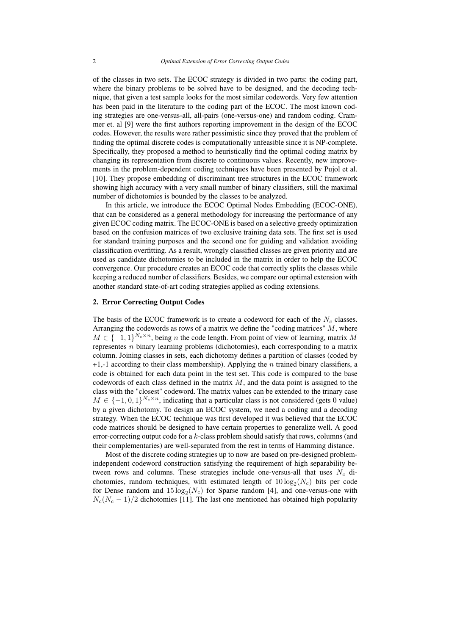of the classes in two sets. The ECOC strategy is divided in two parts: the coding part, where the binary problems to be solved have to be designed, and the decoding technique, that given a test sample looks for the most similar codewords. Very few attention has been paid in the literature to the coding part of the ECOC. The most known coding strategies are one-versus-all, all-pairs (one-versus-one) and random coding. Crammer et. al [9] were the first authors reporting improvement in the design of the ECOC codes. However, the results were rather pessimistic since they proved that the problem of finding the optimal discrete codes is computationally unfeasible since it is NP-complete. Specifically, they proposed a method to heuristically find the optimal coding matrix by changing its representation from discrete to continuous values. Recently, new improvements in the problem-dependent coding techniques have been presented by Pujol et al. [10]. They propose embedding of discriminant tree structures in the ECOC framework showing high accuracy with a very small number of binary classifiers, still the maximal number of dichotomies is bounded by the classes to be analyzed.

In this article, we introduce the ECOC Optimal Nodes Embedding (ECOC-ONE), that can be considered as a general methodology for increasing the performance of any given ECOC coding matrix. The ECOC-ONE is based on a selective greedy optimization based on the confusion matrices of two exclusive training data sets. The first set is used for standard training purposes and the second one for guiding and validation avoiding classification overfitting. As a result, wrongly classified classes are given priority and are used as candidate dichotomies to be included in the matrix in order to help the ECOC convergence. Our procedure creates an ECOC code that correctly splits the classes while keeping a reduced number of classifiers. Besides, we compare our optimal extension with another standard state-of-art coding strategies applied as coding extensions.

#### 2. Error Correcting Output Codes

The basis of the ECOC framework is to create a codeword for each of the  $N_c$  classes. Arranging the codewords as rows of a matrix we define the "coding matrices"  $M$ , where  $M \in \{-1, 1\}^{N_c \times n}$ , being *n* the code length. From point of view of learning, matrix M representes n binary learning problems (dichotomies), each corresponding to a matrix column. Joining classes in sets, each dichotomy defines a partition of classes (coded by  $+1,-1$  according to their class membership). Applying the *n* trained binary classifiers, a code is obtained for each data point in the test set. This code is compared to the base codewords of each class defined in the matrix  $M$ , and the data point is assigned to the class with the "closest" codeword. The matrix values can be extended to the trinary case  $M \in \{-1, 0, 1\}^{N_c \times n}$ , indicating that a particular class is not considered (gets 0 value) by a given dichotomy. To design an ECOC system, we need a coding and a decoding strategy. When the ECOC technique was first developed it was believed that the ECOC code matrices should be designed to have certain properties to generalize well. A good error-correcting output code for a  $k$ -class problem should satisfy that rows, columns (and their complementaries) are well-separated from the rest in terms of Hamming distance.

Most of the discrete coding strategies up to now are based on pre-designed problemindependent codeword construction satisfying the requirement of high separability between rows and columns. These strategies include one-versus-all that uses  $N_c$  dichotomies, random techniques, with estimated length of  $10\log_2(N_c)$  bits per code for Dense random and  $15 \log_2(N_c)$  for Sparse random [4], and one-versus-one with  $N_c(N_c - 1)/2$  dichotomies [11]. The last one mentioned has obtained high popularity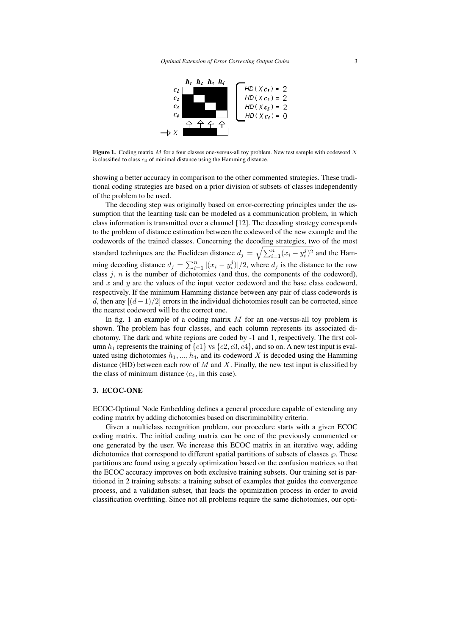

Figure 1. Coding matrix  $M$  for a four classes one-versus-all toy problem. New test sample with codeword  $X$ is classified to class  $c_4$  of minimal distance using the Hamming distance.

showing a better accuracy in comparison to the other commented strategies. These traditional coding strategies are based on a prior division of subsets of classes independently of the problem to be used.

The decoding step was originally based on error-correcting principles under the assumption that the learning task can be modeled as a communication problem, in which class information is transmitted over a channel [12]. The decoding strategy corresponds to the problem of distance estimation between the codeword of the new example and the codewords of the trained classes. Concerning the decoding strategies, two of the most codewords of the trained classes. Concerning the decoding<br>standard techniques are the Euclidean distance  $d_j = \sqrt{\sum_{i=1}^n n_i}$  $\sum_{i=1}^n (x_i - y_i^j)^2$  and the Hamming decoding distance  $d_j = \sum_{i=1}^n |(x_i - y_i^j)|/2$ , where  $d_j$  is the distance to the row class  $j$ ,  $n$  is the number of dichotomies (and thus, the components of the codeword), and  $x$  and  $y$  are the values of the input vector codeword and the base class codeword, respectively. If the minimum Hamming distance between any pair of class codewords is d, then any  $\left[\frac{d-1}{2}\right]$  errors in the individual dichotomies result can be corrected, since the nearest codeword will be the correct one.

In fig. 1 an example of a coding matrix  $M$  for an one-versus-all toy problem is shown. The problem has four classes, and each column represents its associated dichotomy. The dark and white regions are coded by -1 and 1, respectively. The first column  $h_1$  represents the training of  $\{c_1\}$  vs  $\{c_2, c_3, c_4\}$ , and so on. A new test input is evaluated using dichotomies  $h_1, ..., h_4$ , and its codeword X is decoded using the Hamming distance (HD) between each row of  $M$  and  $X$ . Finally, the new test input is classified by the class of minimum distance  $(c_4, \text{ in this case}).$ 

#### 3. ECOC-ONE

ECOC-Optimal Node Embedding defines a general procedure capable of extending any coding matrix by adding dichotomies based on discriminability criteria.

Given a multiclass recognition problem, our procedure starts with a given ECOC coding matrix. The initial coding matrix can be one of the previously commented or one generated by the user. We increase this ECOC matrix in an iterative way, adding dichotomies that correspond to different spatial partitions of subsets of classes  $\wp$ . These partitions are found using a greedy optimization based on the confusion matrices so that the ECOC accuracy improves on both exclusive training subsets. Our training set is partitioned in 2 training subsets: a training subset of examples that guides the convergence process, and a validation subset, that leads the optimization process in order to avoid classification overfitting. Since not all problems require the same dichotomies, our opti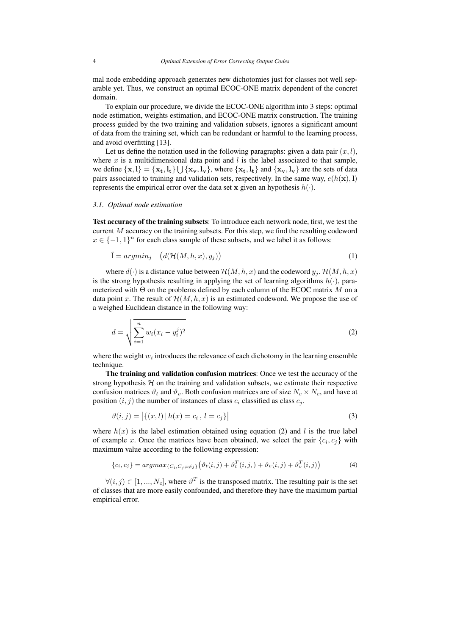mal node embedding approach generates new dichotomies just for classes not well separable yet. Thus, we construct an optimal ECOC-ONE matrix dependent of the concret domain.

To explain our procedure, we divide the ECOC-ONE algorithm into 3 steps: optimal node estimation, weights estimation, and ECOC-ONE matrix construction. The training process guided by the two training and validation subsets, ignores a significant amount of data from the training set, which can be redundant or harmful to the learning process, and avoid overfitting [13].

Let us define the notation used in the following paragraphs: given a data pair  $(x, l)$ , where  $x$  is a multidimensional data point and  $l$  is the label associated to that sample, we define  $\{x, l\} = \{x_t, l_t\} \bigcup \{x_v, l_v\}$ , where  $\{x_t, l_t\}$  and  $\{x_v, l_v\}$  are the sets of data pairs associated to training and validation sets, respectively. In the same way,  $e(h(\mathbf{x}), \mathbf{l})$ represents the empirical error over the data set x given an hypothesis  $h(.)$ .

#### *3.1. Optimal node estimation*

Test accuracy of the training subsets: To introduce each network node, first, we test the current  $M$  accuracy on the training subsets. For this step, we find the resulting codeword  $x \in \{-1,1\}^n$  for each class sample of these subsets, and we label it as follows:

$$
\tilde{I} = argmin_j \quad (d(\mathcal{H}(M, h, x), y_j)) \tag{1}
$$

where  $d(\cdot)$  is a distance value between  $\mathcal{H}(M, h, x)$  and the codeword  $y_j$ .  $\mathcal{H}(M, h, x)$ is the strong hypothesis resulting in applying the set of learning algorithms  $h(.)$ , parameterized with  $\Theta$  on the problems defined by each column of the ECOC matrix M on a data point x. The result of  $\mathcal{H}(M, h, x)$  is an estimated codeword. We propose the use of a weighed Euclidean distance in the following way:

$$
d = \sqrt{\sum_{i=1}^{n} w_i (x_i - y_i^j)^2}
$$
 (2)

where the weight  $w_i$  introduces the relevance of each dichotomy in the learning ensemble technique.

The training and validation confusion matrices: Once we test the accuracy of the strong hypothesis  $H$  on the training and validation subsets, we estimate their respective confusion matrices  $\vartheta_t$  and  $\vartheta_v$ . Both confusion matrices are of size  $N_c \times N_c$ , and have at position  $(i, j)$  the number of instances of class  $c_i$  classified as class  $c_j$ .

$$
\vartheta(i,j) = |\{(x,l) | h(x) = c_i, l = c_j\}|
$$
\n(3)

where  $h(x)$  is the label estimation obtained using equation (2) and l is the true label of example x. Once the matrices have been obtained, we select the pair  $\{c_i, c_j\}$  with maximum value according to the following expression:

$$
\{c_i, c_j\} = argmax_{\{C_i, C_j; i \neq j\}} \left(\vartheta_t(i, j) + \vartheta_t^T(i, j, ) + \vartheta_v(i, j) + \vartheta_v^T(i, j)\right)
$$
(4)

 $\forall (i, j) \in [1, ..., N_c]$ , where  $\vartheta^T$  is the transposed matrix. The resulting pair is the set of classes that are more easily confounded, and therefore they have the maximum partial empirical error.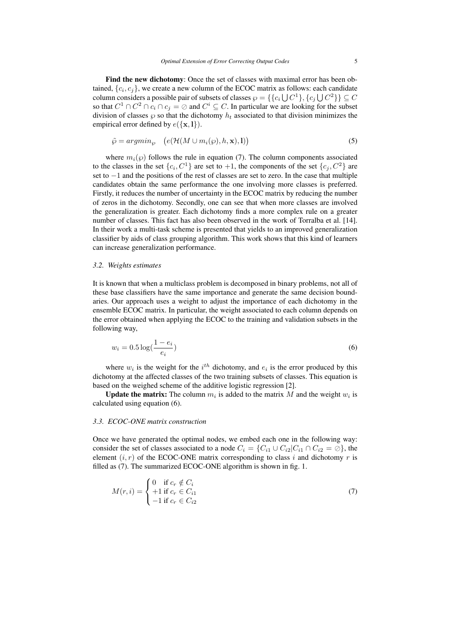Find the new dichotomy: Once the set of classes with maximal error has been obtained,  $\{c_i, c_j\}$ , we create a new column of the ECOC matrix as follows: each candidate column considers a possible pair of subsets of classes  $\wp = \{\{c_i \bigcup C^1\}, \{c_j \bigcup C^2\}\} \subseteq C$ so that  $C^1 \cap C^2 \cap c_i \cap c_j = \emptyset$  and  $C^i \subseteq C$ . In particular we are looking for the subset division of classes  $\wp$  so that the dichotomy  $h_t$  associated to that division minimizes the empirical error defined by  $e({\bf x}, {\bf l})$ .

$$
\tilde{\wp} = argmin_{\wp} \quad \left( e(\mathcal{H}(M \cup m_i(\wp), h, \mathbf{x}), \mathbf{l}) \right) \tag{5}
$$

where  $m_i(\varphi)$  follows the rule in equation (7). The column components associated to the classes in the set  $\{c_i, C^1\}$  are set to  $+1$ , the components of the set  $\{c_j, C^2\}$  are set to −1 and the positions of the rest of classes are set to zero. In the case that multiple candidates obtain the same performance the one involving more classes is preferred. Firstly, it reduces the number of uncertainty in the ECOC matrix by reducing the number of zeros in the dichotomy. Secondly, one can see that when more classes are involved the generalization is greater. Each dichotomy finds a more complex rule on a greater number of classes. This fact has also been observed in the work of Torralba et al. [14]. In their work a multi-task scheme is presented that yields to an improved generalization classifier by aids of class grouping algorithm. This work shows that this kind of learners can increase generalization performance.

#### *3.2. Weights estimates*

It is known that when a multiclass problem is decomposed in binary problems, not all of these base classifiers have the same importance and generate the same decision boundaries. Our approach uses a weight to adjust the importance of each dichotomy in the ensemble ECOC matrix. In particular, the weight associated to each column depends on the error obtained when applying the ECOC to the training and validation subsets in the following way,

$$
w_i = 0.5 \log(\frac{1 - e_i}{e_i})
$$
\n<sup>(6)</sup>

where  $w_i$  is the weight for the  $i^{th}$  dichotomy, and  $e_i$  is the error produced by this dichotomy at the affected classes of the two training subsets of classes. This equation is based on the weighed scheme of the additive logistic regression [2].

**Update the matrix:** The column  $m_i$  is added to the matrix M and the weight  $w_i$  is calculated using equation (6).

## *3.3. ECOC-ONE matrix construction*

Once we have generated the optimal nodes, we embed each one in the following way: consider the set of classes associated to a node  $C_i = \{C_{i1} \cup C_{i2} | C_{i1} \cap C_{i2} = \emptyset\}$ , the element  $(i, r)$  of the ECOC-ONE matrix corresponding to class i and dichotomy r is filled as (7). The summarized ECOC-ONE algorithm is shown in fig. 1.

$$
M(r,i) = \begin{cases} 0 & \text{if } c_r \notin C_i \\ +1 & \text{if } c_r \in C_{i1} \\ -1 & \text{if } c_r \in C_{i2} \end{cases}
$$
 (7)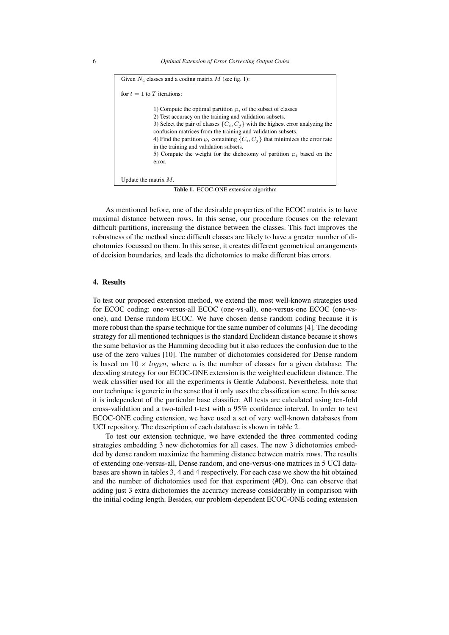6 *Optimal Extension of Error Correcting Output Codes*

| Given $N_c$ classes and a coding matrix M (see fig. 1):                               |  |  |  |  |  |  |
|---------------------------------------------------------------------------------------|--|--|--|--|--|--|
| for $t = 1$ to T iterations:                                                          |  |  |  |  |  |  |
| 1) Compute the optimal partition $\varphi_i$ of the subset of classes                 |  |  |  |  |  |  |
| 2) Test accuracy on the training and validation subsets.                              |  |  |  |  |  |  |
| 3) Select the pair of classes $\{C_i, C_j\}$ with the highest error analyzing the     |  |  |  |  |  |  |
| confusion matrices from the training and validation subsets.                          |  |  |  |  |  |  |
| 4) Find the partition $\wp_i$ containing $\{C_i, C_j\}$ that minimizes the error rate |  |  |  |  |  |  |
| in the training and validation subsets.                                               |  |  |  |  |  |  |
| 5) Compute the weight for the dichotomy of partition $\varphi_i$ based on the         |  |  |  |  |  |  |
| error.                                                                                |  |  |  |  |  |  |
|                                                                                       |  |  |  |  |  |  |
| Update the matrix $M$ .                                                               |  |  |  |  |  |  |

Table 1. ECOC-ONE extension algorithm

As mentioned before, one of the desirable properties of the ECOC matrix is to have maximal distance between rows. In this sense, our procedure focuses on the relevant difficult partitions, increasing the distance between the classes. This fact improves the robustness of the method since difficult classes are likely to have a greater number of dichotomies focussed on them. In this sense, it creates different geometrical arrangements of decision boundaries, and leads the dichotomies to make different bias errors.

#### 4. Results

To test our proposed extension method, we extend the most well-known strategies used for ECOC coding: one-versus-all ECOC (one-vs-all), one-versus-one ECOC (one-vsone), and Dense random ECOC. We have chosen dense random coding because it is more robust than the sparse technique for the same number of columns [4]. The decoding strategy for all mentioned techniques is the standard Euclidean distance because it shows the same behavior as the Hamming decoding but it also reduces the confusion due to the use of the zero values [10]. The number of dichotomies considered for Dense random is based on  $10 \times log_2 n$ , where n is the number of classes for a given database. The decoding strategy for our ECOC-ONE extension is the weighted euclidean distance. The weak classifier used for all the experiments is Gentle Adaboost. Nevertheless, note that our technique is generic in the sense that it only uses the classification score. In this sense it is independent of the particular base classifier. All tests are calculated using ten-fold cross-validation and a two-tailed t-test with a 95% confidence interval. In order to test ECOC-ONE coding extension, we have used a set of very well-known databases from UCI repository. The description of each database is shown in table 2.

To test our extension technique, we have extended the three commented coding strategies embedding 3 new dichotomies for all cases. The new 3 dichotomies embedded by dense random maximize the hamming distance between matrix rows. The results of extending one-versus-all, Dense random, and one-versus-one matrices in 5 UCI databases are shown in tables 3, 4 and 4 respectively. For each case we show the hit obtained and the number of dichotomies used for that experiment (#D). One can observe that adding just 3 extra dichotomies the accuracy increase considerably in comparison with the initial coding length. Besides, our problem-dependent ECOC-ONE coding extension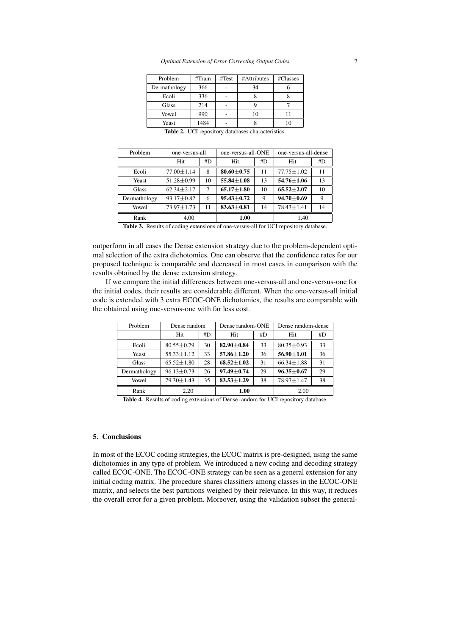| Problem      | #Train | #Test | #Attributes | #Classes |
|--------------|--------|-------|-------------|----------|
| Dermathology | 366    |       | 34          |          |
| Ecoli        | 336    |       |             |          |
| Glass        | 214    |       |             |          |
| Vowel        | 990    |       | 10          |          |
| Yeast        | 1484   |       |             |          |

| Problem      | one-versus-all   |    | one-versus-all-ONE |    | one-versus-all-dense |    |
|--------------|------------------|----|--------------------|----|----------------------|----|
|              | Hit              | #D | Hit                | #D | Hit                  | #D |
| Ecoli        | $77.00 \pm 1.14$ | 8  | $80.60 \pm 0.75$   | 11 | $77.75 \pm 1.02$     | 11 |
| Yeast        | $51.28 \pm 0.99$ | 10 | $55.84 + 1.08$     | 13 | $54.76 + 1.06$       | 13 |
| Glass        | $62.34 \pm 2.17$ | 7  | $65.17 \pm 1.80$   | 10 | $65.52 + 2.07$       | 10 |
| Dermathology | $93.17 + 0.82$   | 6  | $95.43 + 0.72$     | 9  | $94.70 + 0.69$       | 9  |
| Vowel        | $73.97 \pm 1.73$ | 11 | $83.63 \pm 0.81$   | 14 | $78.43 \pm 1.41$     | 14 |
| Rank         | 4.00             |    | 1.00               |    | 1.40                 |    |

Table 2. UCI repository databases characteristics.

|  |  |  |  |  |  |  |  | <b>Table 3.</b> Results of coding extensions of one-versus-all for UCI repository database. |
|--|--|--|--|--|--|--|--|---------------------------------------------------------------------------------------------|
|--|--|--|--|--|--|--|--|---------------------------------------------------------------------------------------------|

outperform in all cases the Dense extension strategy due to the problem-dependent optimal selection of the extra dichotomies. One can observe that the confidence rates for our proposed technique is comparable and decreased in most cases in comparison with the results obtained by the dense extension strategy.

If we compare the initial differences between one-versus-all and one-versus-one for the initial codes, their results are considerable different. When the one-versus-all initial code is extended with 3 extra ECOC-ONE dichotomies, the results are comparable with the obtained using one-versus-one with far less cost.

| Problem      | Dense random     |    | Dense random-ONE |    | Dense random-dense |    |
|--------------|------------------|----|------------------|----|--------------------|----|
|              | Hit              | #D | Hit              | #D | Hit                | #D |
| Ecoli        | $80.55 + 0.79$   | 30 | $82.90 + 0.84$   | 33 | $80.35 + 0.93$     | 33 |
| Yeast        | $55.33 \pm 1.12$ | 33 | 57.86±1.20       | 36 | $56.90 \pm 1.01$   | 36 |
| <b>Glass</b> | $65.52 + 1.80$   | 28 | $68.52 + 1.02$   | 31 | $66.34 + 1.88$     | 31 |
| Dermathology | $96.13 \pm 0.73$ | 26 | $97.49 + 0.74$   | 29 | $96.35 + 0.67$     | 29 |
| Vowel        | 79.30±1.43       | 35 | $83.53 + 1.29$   | 38 | $78.97 \pm 1.47$   | 38 |
| Rank         | 2.20             |    | 1.00             |    | 2.00               |    |

Table 4. Results of coding extensions of Dense random for UCI repository database.

# 5. Conclusions

In most of the ECOC coding strategies, the ECOC matrix is pre-designed, using the same dichotomies in any type of problem. We introduced a new coding and decoding strategy called ECOC-ONE. The ECOC-ONE strategy can be seen as a general extension for any initial coding matrix. The procedure shares classifiers among classes in the ECOC-ONE matrix, and selects the best partitions weighed by their relevance. In this way, it reduces the overall error for a given problem. Moreover, using the validation subset the general-